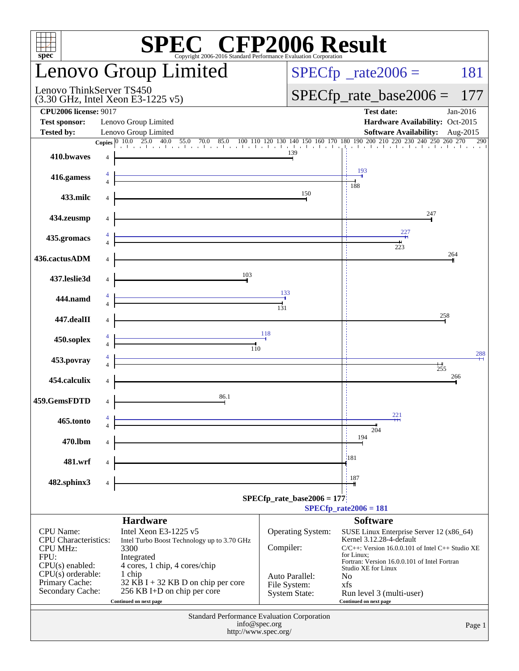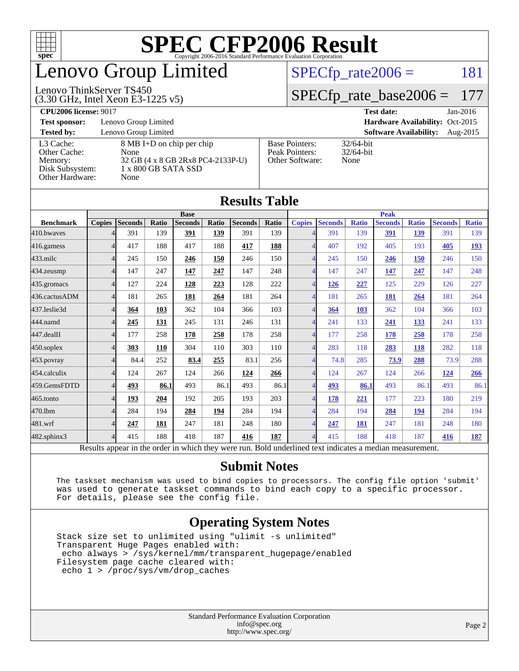

## enovo Group Limited

#### Lenovo ThinkServer TS450

(3.30 GHz, Intel Xeon E3-1225 v5)

 $SPECTp_rate2006 = 181$ 

### [SPECfp\\_rate\\_base2006 =](http://www.spec.org/auto/cpu2006/Docs/result-fields.html#SPECfpratebase2006) 177

**[CPU2006 license:](http://www.spec.org/auto/cpu2006/Docs/result-fields.html#CPU2006license)** 9017 **[Test date:](http://www.spec.org/auto/cpu2006/Docs/result-fields.html#Testdate)** Jan-2016

**[Test sponsor:](http://www.spec.org/auto/cpu2006/Docs/result-fields.html#Testsponsor)** Lenovo Group Limited **[Hardware Availability:](http://www.spec.org/auto/cpu2006/Docs/result-fields.html#HardwareAvailability)** Oct-2015

**[Tested by:](http://www.spec.org/auto/cpu2006/Docs/result-fields.html#Testedby)** Lenovo Group Limited **[Software Availability:](http://www.spec.org/auto/cpu2006/Docs/result-fields.html#SoftwareAvailability)** Aug-2015 [L3 Cache:](http://www.spec.org/auto/cpu2006/Docs/result-fields.html#L3Cache) 8 MB I+D on chip per chip<br>Other Cache: None [Other Cache:](http://www.spec.org/auto/cpu2006/Docs/result-fields.html#OtherCache) [Memory:](http://www.spec.org/auto/cpu2006/Docs/result-fields.html#Memory) 32 GB (4 x 8 GB 2Rx8 PC4-2133P-U) [Disk Subsystem:](http://www.spec.org/auto/cpu2006/Docs/result-fields.html#DiskSubsystem) 1 x 800 GB SATA SSD [Other Hardware:](http://www.spec.org/auto/cpu2006/Docs/result-fields.html#OtherHardware) None

| <b>Base Pointers:</b><br>Peak Pointers: | $32/64$ -bit<br>$32/64$ -bit |
|-----------------------------------------|------------------------------|
| Other Software:                         | None                         |

32/64-bit

| <b>Results Table</b> |                |         |       |                                                                                                          |       |                |              |                          |                |              |                |              |                |              |
|----------------------|----------------|---------|-------|----------------------------------------------------------------------------------------------------------|-------|----------------|--------------|--------------------------|----------------|--------------|----------------|--------------|----------------|--------------|
|                      | <b>Base</b>    |         |       | <b>Peak</b>                                                                                              |       |                |              |                          |                |              |                |              |                |              |
| <b>Benchmark</b>     | <b>Copies</b>  | Seconds | Ratio | <b>Seconds</b>                                                                                           | Ratio | <b>Seconds</b> | <b>Ratio</b> | <b>Copies</b>            | <b>Seconds</b> | <b>Ratio</b> | <b>Seconds</b> | <b>Ratio</b> | <b>Seconds</b> | <b>Ratio</b> |
| 410.bwayes           |                | 391     | 139   | 391                                                                                                      | 139   | 391            | 139          | Δ                        | 391            | 139          | 391            | 139          | 391            | 139          |
| 416.gamess           | 4              | 417     | 188   | 417                                                                                                      | 188   | 417            | 188          | $\overline{4}$           | 407            | 192          | 405            | 193          | 405            | 193          |
| 433.milc             | 4              | 245     | 150   | 246                                                                                                      | 150   | 246            | 150          | $\overline{4}$           | 245            | 150          | 246            | 150          | 246            | 150          |
| 434.zeusmp           | 4              | 147     | 247   | 147                                                                                                      | 247   | 147            | 248          | 4                        | 147            | 247          | 147            | 247          | 147            | 248          |
| 435.gromacs          | 4              | 127     | 224   | 128                                                                                                      | 223   | 128            | 222          | $\overline{4}$           | 126            | 227          | 125            | 229          | 126            | 227          |
| 436.cactusADM        | $\overline{4}$ | 181     | 265   | 181                                                                                                      | 264   | 181            | 264          | $\overline{4}$           | 181            | 265          | 181            | 264          | 181            | 264          |
| 437.leslie3d         | 4              | 364     | 103   | 362                                                                                                      | 104   | 366            | 103          | 4                        | 364            | 103          | 362            | 104          | 366            | 103          |
| 444.namd             |                | 245     | 131   | 245                                                                                                      | 131   | 246            | 131          | $\overline{\mathcal{A}}$ | 241            | 133          | 241            | <u>133</u>   | 241            | 133          |
| 447.dealII           | 4              | 177     | 258   | 178                                                                                                      | 258   | 178            | 258          | $\overline{4}$           | 177            | 258          | 178            | 258          | 178            | 258          |
| $450$ .soplex        | 4              | 303     | 110   | 304                                                                                                      | 110   | 303            | 110          | $\overline{4}$           | 283            | 118          | 283            | 118          | 282            | 118          |
| 453.povray           | 4              | 84.4    | 252   | 83.4                                                                                                     | 255   | 83.1           | 256          | 4                        | 74.8           | 285          | 73.9           | 288          | 73.9           | 288          |
| 454.calculix         | 4              | 124     | 267   | 124                                                                                                      | 266   | 124            | 266          | $\overline{4}$           | 124            | 267          | 124            | 266          | 124            | 266          |
| 459.GemsFDTD         | 4              | 493     | 86.1  | 493                                                                                                      | 86.1  | 493            | 86.1         | $\overline{4}$           | 493            | 86.1         | 493            | 86.1         | 493            | 86.1         |
| 465.tonto            | 4              | 193     | 204   | 192                                                                                                      | 205   | 193            | 203          | $\overline{4}$           | 178            | 221          | 177            | 223          | 180            | 219          |
| 470.1bm              | 4              | 284     | 194   | 284                                                                                                      | 194   | 284            | 194          | $\overline{\mathcal{A}}$ | 284            | 194          | 284            | 194          | 284            | 194          |
| 481.wrf              | 4              | 247     | 181   | 247                                                                                                      | 181   | 248            | 180          | $\overline{4}$           | 247            | 181          | 247            | 181          | 248            | 180          |
| $482$ .sphinx $3$    | 4              | 415     | 188   | 418                                                                                                      | 187   | 416            | 187          | $\overline{4}$           | 415            | 188          | 418            | 187          | 416            | 187          |
|                      |                |         |       | Results appear in the order in which they were run. Bold underlined text indicates a median measurement. |       |                |              |                          |                |              |                |              |                |              |

### **[Submit Notes](http://www.spec.org/auto/cpu2006/Docs/result-fields.html#SubmitNotes)**

 The taskset mechanism was used to bind copies to processors. The config file option 'submit' was used to generate taskset commands to bind each copy to a specific processor. For details, please see the config file.

### **[Operating System Notes](http://www.spec.org/auto/cpu2006/Docs/result-fields.html#OperatingSystemNotes)**

 Stack size set to unlimited using "ulimit -s unlimited" Transparent Huge Pages enabled with: echo always > /sys/kernel/mm/transparent\_hugepage/enabled Filesystem page cache cleared with: echo 1 > /proc/sys/vm/drop\_caches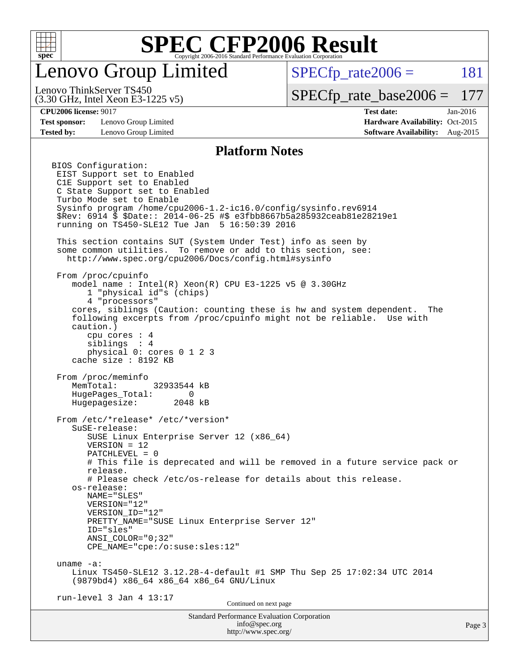

### enovo Group Limited

 $SPECTp\_rate2006 = 181$ 

(3.30 GHz, Intel Xeon E3-1225 v5) Lenovo ThinkServer TS450

[SPECfp\\_rate\\_base2006 =](http://www.spec.org/auto/cpu2006/Docs/result-fields.html#SPECfpratebase2006) 177

**[Test sponsor:](http://www.spec.org/auto/cpu2006/Docs/result-fields.html#Testsponsor)** Lenovo Group Limited **[Hardware Availability:](http://www.spec.org/auto/cpu2006/Docs/result-fields.html#HardwareAvailability)** Oct-2015

**[CPU2006 license:](http://www.spec.org/auto/cpu2006/Docs/result-fields.html#CPU2006license)** 9017 **[Test date:](http://www.spec.org/auto/cpu2006/Docs/result-fields.html#Testdate)** Jan-2016 **[Tested by:](http://www.spec.org/auto/cpu2006/Docs/result-fields.html#Testedby)** Lenovo Group Limited **[Software Availability:](http://www.spec.org/auto/cpu2006/Docs/result-fields.html#SoftwareAvailability)** Aug-2015

#### **[Platform Notes](http://www.spec.org/auto/cpu2006/Docs/result-fields.html#PlatformNotes)**

Standard Performance Evaluation Corporation [info@spec.org](mailto:info@spec.org) BIOS Configuration: EIST Support set to Enabled C1E Support set to Enabled C State Support set to Enabled Turbo Mode set to Enable Sysinfo program /home/cpu2006-1.2-ic16.0/config/sysinfo.rev6914 \$Rev: 6914 \$ \$Date:: 2014-06-25 #\$ e3fbb8667b5a285932ceab81e28219e1 running on TS450-SLE12 Tue Jan 5 16:50:39 2016 This section contains SUT (System Under Test) info as seen by some common utilities. To remove or add to this section, see: <http://www.spec.org/cpu2006/Docs/config.html#sysinfo> From /proc/cpuinfo model name : Intel(R) Xeon(R) CPU E3-1225 v5 @ 3.30GHz 1 "physical id"s (chips) 4 "processors" cores, siblings (Caution: counting these is hw and system dependent. The following excerpts from /proc/cpuinfo might not be reliable. Use with caution.) cpu cores : 4 siblings : 4 physical 0: cores 0 1 2 3 cache size : 8192 KB From /proc/meminfo MemTotal: 32933544 kB HugePages\_Total: 0<br>Hugepagesize: 2048 kB Hugepagesize: From /etc/\*release\* /etc/\*version\* SuSE-release: SUSE Linux Enterprise Server 12 (x86\_64) VERSION = 12 PATCHLEVEL = 0 # This file is deprecated and will be removed in a future service pack or release. # Please check /etc/os-release for details about this release. os-release: NAME="SLES" VERSION="12" VERSION\_ID="12" PRETTY\_NAME="SUSE Linux Enterprise Server 12" ID="sles" ANSI\_COLOR="0;32" CPE\_NAME="cpe:/o:suse:sles:12" uname -a: Linux TS450-SLE12 3.12.28-4-default #1 SMP Thu Sep 25 17:02:34 UTC 2014 (9879bd4) x86\_64 x86\_64 x86\_64 GNU/Linux run-level 3 Jan 4 13:17 Continued on next page

<http://www.spec.org/>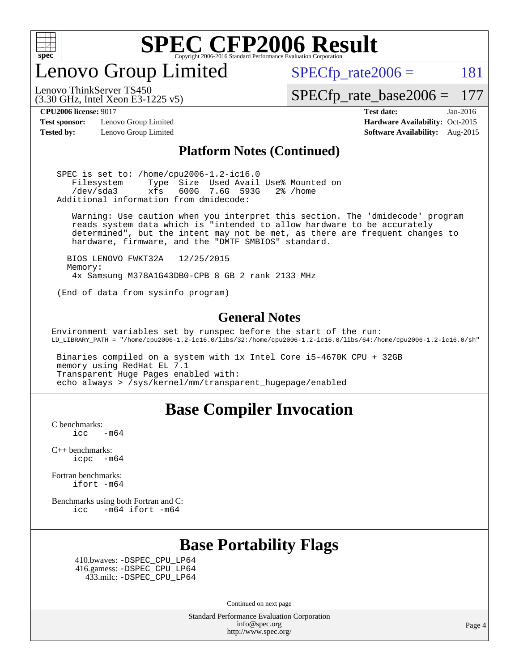

Lenovo Group Limited

 $SPECTp_rate2006 = 181$ 

[SPECfp\\_rate\\_base2006 =](http://www.spec.org/auto/cpu2006/Docs/result-fields.html#SPECfpratebase2006) 177

**[Test sponsor:](http://www.spec.org/auto/cpu2006/Docs/result-fields.html#Testsponsor)** Lenovo Group Limited **[Hardware Availability:](http://www.spec.org/auto/cpu2006/Docs/result-fields.html#HardwareAvailability)** Oct-2015

(3.30 GHz, Intel Xeon E3-1225 v5)

Lenovo ThinkServer TS450

**[CPU2006 license:](http://www.spec.org/auto/cpu2006/Docs/result-fields.html#CPU2006license)** 9017 **[Test date:](http://www.spec.org/auto/cpu2006/Docs/result-fields.html#Testdate)** Jan-2016 **[Tested by:](http://www.spec.org/auto/cpu2006/Docs/result-fields.html#Testedby)** Lenovo Group Limited **[Software Availability:](http://www.spec.org/auto/cpu2006/Docs/result-fields.html#SoftwareAvailability)** Aug-2015

### **[Platform Notes \(Continued\)](http://www.spec.org/auto/cpu2006/Docs/result-fields.html#PlatformNotes)**

 SPEC is set to: /home/cpu2006-1.2-ic16.0 Filesystem Type Size Used Avail Use% Mounted on /dev/sda3 xfs 600G 7.6G 593G 2% /home Additional information from dmidecode:

 Warning: Use caution when you interpret this section. The 'dmidecode' program reads system data which is "intended to allow hardware to be accurately determined", but the intent may not be met, as there are frequent changes to hardware, firmware, and the "DMTF SMBIOS" standard.

 BIOS LENOVO FWKT32A 12/25/2015 Memory: 4x Samsung M378A1G43DB0-CPB 8 GB 2 rank 2133 MHz

(End of data from sysinfo program)

### **[General Notes](http://www.spec.org/auto/cpu2006/Docs/result-fields.html#GeneralNotes)**

Environment variables set by runspec before the start of the run: LD\_LIBRARY\_PATH = "/home/cpu2006-1.2-ic16.0/libs/32:/home/cpu2006-1.2-ic16.0/libs/64:/home/cpu2006-1.2-ic16.0/sh"

 Binaries compiled on a system with 1x Intel Core i5-4670K CPU + 32GB memory using RedHat EL 7.1 Transparent Huge Pages enabled with: echo always > /sys/kernel/mm/transparent\_hugepage/enabled

### **[Base Compiler Invocation](http://www.spec.org/auto/cpu2006/Docs/result-fields.html#BaseCompilerInvocation)**

[C benchmarks](http://www.spec.org/auto/cpu2006/Docs/result-fields.html#Cbenchmarks):  $\text{icc}$  -m64

[C++ benchmarks:](http://www.spec.org/auto/cpu2006/Docs/result-fields.html#CXXbenchmarks) [icpc -m64](http://www.spec.org/cpu2006/results/res2016q1/cpu2006-20160125-38907.flags.html#user_CXXbase_intel_icpc_64bit_bedb90c1146cab66620883ef4f41a67e)

[Fortran benchmarks](http://www.spec.org/auto/cpu2006/Docs/result-fields.html#Fortranbenchmarks): [ifort -m64](http://www.spec.org/cpu2006/results/res2016q1/cpu2006-20160125-38907.flags.html#user_FCbase_intel_ifort_64bit_ee9d0fb25645d0210d97eb0527dcc06e)

[Benchmarks using both Fortran and C](http://www.spec.org/auto/cpu2006/Docs/result-fields.html#BenchmarksusingbothFortranandC): [icc -m64](http://www.spec.org/cpu2006/results/res2016q1/cpu2006-20160125-38907.flags.html#user_CC_FCbase_intel_icc_64bit_0b7121f5ab7cfabee23d88897260401c) [ifort -m64](http://www.spec.org/cpu2006/results/res2016q1/cpu2006-20160125-38907.flags.html#user_CC_FCbase_intel_ifort_64bit_ee9d0fb25645d0210d97eb0527dcc06e)

### **[Base Portability Flags](http://www.spec.org/auto/cpu2006/Docs/result-fields.html#BasePortabilityFlags)**

 410.bwaves: [-DSPEC\\_CPU\\_LP64](http://www.spec.org/cpu2006/results/res2016q1/cpu2006-20160125-38907.flags.html#suite_basePORTABILITY410_bwaves_DSPEC_CPU_LP64) 416.gamess: [-DSPEC\\_CPU\\_LP64](http://www.spec.org/cpu2006/results/res2016q1/cpu2006-20160125-38907.flags.html#suite_basePORTABILITY416_gamess_DSPEC_CPU_LP64) 433.milc: [-DSPEC\\_CPU\\_LP64](http://www.spec.org/cpu2006/results/res2016q1/cpu2006-20160125-38907.flags.html#suite_basePORTABILITY433_milc_DSPEC_CPU_LP64)

Continued on next page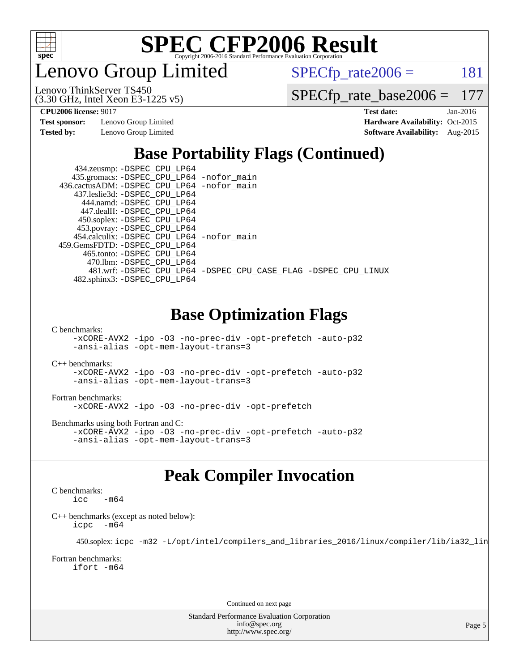

enovo Group Limited

 $SPECTp_rate2006 = 181$ 

(3.30 GHz, Intel Xeon E3-1225 v5) Lenovo ThinkServer TS450

[SPECfp\\_rate\\_base2006 =](http://www.spec.org/auto/cpu2006/Docs/result-fields.html#SPECfpratebase2006) 177

**[Test sponsor:](http://www.spec.org/auto/cpu2006/Docs/result-fields.html#Testsponsor)** Lenovo Group Limited **[Hardware Availability:](http://www.spec.org/auto/cpu2006/Docs/result-fields.html#HardwareAvailability)** Oct-2015

**[CPU2006 license:](http://www.spec.org/auto/cpu2006/Docs/result-fields.html#CPU2006license)** 9017 **[Test date:](http://www.spec.org/auto/cpu2006/Docs/result-fields.html#Testdate)** Jan-2016 **[Tested by:](http://www.spec.org/auto/cpu2006/Docs/result-fields.html#Testedby)** Lenovo Group Limited **[Software Availability:](http://www.spec.org/auto/cpu2006/Docs/result-fields.html#SoftwareAvailability)** Aug-2015

### **[Base Portability Flags \(Continued\)](http://www.spec.org/auto/cpu2006/Docs/result-fields.html#BasePortabilityFlags)**

| 434.zeusmp: - DSPEC_CPU_LP64               |                                                                |
|--------------------------------------------|----------------------------------------------------------------|
| 435.gromacs: -DSPEC_CPU_LP64 -nofor_main   |                                                                |
| 436.cactusADM: -DSPEC CPU LP64 -nofor main |                                                                |
| 437.leslie3d: -DSPEC CPU LP64              |                                                                |
| 444.namd: -DSPEC CPU LP64                  |                                                                |
| 447.dealII: -DSPEC CPU LP64                |                                                                |
| 450.soplex: -DSPEC_CPU_LP64                |                                                                |
| 453.povray: -DSPEC_CPU_LP64                |                                                                |
| 454.calculix: -DSPEC CPU LP64 -nofor main  |                                                                |
| 459. GemsFDTD: - DSPEC CPU LP64            |                                                                |
| 465.tonto: - DSPEC CPU LP64                |                                                                |
| 470.1bm: - DSPEC CPU LP64                  |                                                                |
|                                            | 481.wrf: -DSPEC_CPU_LP64 -DSPEC_CPU_CASE_FLAG -DSPEC_CPU_LINUX |
| 482.sphinx3: -DSPEC_CPU_LP64               |                                                                |

### **[Base Optimization Flags](http://www.spec.org/auto/cpu2006/Docs/result-fields.html#BaseOptimizationFlags)**

[C benchmarks](http://www.spec.org/auto/cpu2006/Docs/result-fields.html#Cbenchmarks):

[-xCORE-AVX2](http://www.spec.org/cpu2006/results/res2016q1/cpu2006-20160125-38907.flags.html#user_CCbase_f-xAVX2_5f5fc0cbe2c9f62c816d3e45806c70d7) [-ipo](http://www.spec.org/cpu2006/results/res2016q1/cpu2006-20160125-38907.flags.html#user_CCbase_f-ipo) [-O3](http://www.spec.org/cpu2006/results/res2016q1/cpu2006-20160125-38907.flags.html#user_CCbase_f-O3) [-no-prec-div](http://www.spec.org/cpu2006/results/res2016q1/cpu2006-20160125-38907.flags.html#user_CCbase_f-no-prec-div) [-opt-prefetch](http://www.spec.org/cpu2006/results/res2016q1/cpu2006-20160125-38907.flags.html#user_CCbase_f-opt-prefetch) [-auto-p32](http://www.spec.org/cpu2006/results/res2016q1/cpu2006-20160125-38907.flags.html#user_CCbase_f-auto-p32) [-ansi-alias](http://www.spec.org/cpu2006/results/res2016q1/cpu2006-20160125-38907.flags.html#user_CCbase_f-ansi-alias) [-opt-mem-layout-trans=3](http://www.spec.org/cpu2006/results/res2016q1/cpu2006-20160125-38907.flags.html#user_CCbase_f-opt-mem-layout-trans_a7b82ad4bd7abf52556d4961a2ae94d5)

[C++ benchmarks:](http://www.spec.org/auto/cpu2006/Docs/result-fields.html#CXXbenchmarks)

[-xCORE-AVX2](http://www.spec.org/cpu2006/results/res2016q1/cpu2006-20160125-38907.flags.html#user_CXXbase_f-xAVX2_5f5fc0cbe2c9f62c816d3e45806c70d7) [-ipo](http://www.spec.org/cpu2006/results/res2016q1/cpu2006-20160125-38907.flags.html#user_CXXbase_f-ipo) [-O3](http://www.spec.org/cpu2006/results/res2016q1/cpu2006-20160125-38907.flags.html#user_CXXbase_f-O3) [-no-prec-div](http://www.spec.org/cpu2006/results/res2016q1/cpu2006-20160125-38907.flags.html#user_CXXbase_f-no-prec-div) [-opt-prefetch](http://www.spec.org/cpu2006/results/res2016q1/cpu2006-20160125-38907.flags.html#user_CXXbase_f-opt-prefetch) [-auto-p32](http://www.spec.org/cpu2006/results/res2016q1/cpu2006-20160125-38907.flags.html#user_CXXbase_f-auto-p32) [-ansi-alias](http://www.spec.org/cpu2006/results/res2016q1/cpu2006-20160125-38907.flags.html#user_CXXbase_f-ansi-alias) [-opt-mem-layout-trans=3](http://www.spec.org/cpu2006/results/res2016q1/cpu2006-20160125-38907.flags.html#user_CXXbase_f-opt-mem-layout-trans_a7b82ad4bd7abf52556d4961a2ae94d5)

#### [Fortran benchmarks](http://www.spec.org/auto/cpu2006/Docs/result-fields.html#Fortranbenchmarks):

[-xCORE-AVX2](http://www.spec.org/cpu2006/results/res2016q1/cpu2006-20160125-38907.flags.html#user_FCbase_f-xAVX2_5f5fc0cbe2c9f62c816d3e45806c70d7) [-ipo](http://www.spec.org/cpu2006/results/res2016q1/cpu2006-20160125-38907.flags.html#user_FCbase_f-ipo) [-O3](http://www.spec.org/cpu2006/results/res2016q1/cpu2006-20160125-38907.flags.html#user_FCbase_f-O3) [-no-prec-div](http://www.spec.org/cpu2006/results/res2016q1/cpu2006-20160125-38907.flags.html#user_FCbase_f-no-prec-div) [-opt-prefetch](http://www.spec.org/cpu2006/results/res2016q1/cpu2006-20160125-38907.flags.html#user_FCbase_f-opt-prefetch)

[Benchmarks using both Fortran and C](http://www.spec.org/auto/cpu2006/Docs/result-fields.html#BenchmarksusingbothFortranandC):

[-xCORE-AVX2](http://www.spec.org/cpu2006/results/res2016q1/cpu2006-20160125-38907.flags.html#user_CC_FCbase_f-xAVX2_5f5fc0cbe2c9f62c816d3e45806c70d7) [-ipo](http://www.spec.org/cpu2006/results/res2016q1/cpu2006-20160125-38907.flags.html#user_CC_FCbase_f-ipo) [-O3](http://www.spec.org/cpu2006/results/res2016q1/cpu2006-20160125-38907.flags.html#user_CC_FCbase_f-O3) [-no-prec-div](http://www.spec.org/cpu2006/results/res2016q1/cpu2006-20160125-38907.flags.html#user_CC_FCbase_f-no-prec-div) [-opt-prefetch](http://www.spec.org/cpu2006/results/res2016q1/cpu2006-20160125-38907.flags.html#user_CC_FCbase_f-opt-prefetch) [-auto-p32](http://www.spec.org/cpu2006/results/res2016q1/cpu2006-20160125-38907.flags.html#user_CC_FCbase_f-auto-p32) [-ansi-alias](http://www.spec.org/cpu2006/results/res2016q1/cpu2006-20160125-38907.flags.html#user_CC_FCbase_f-ansi-alias) [-opt-mem-layout-trans=3](http://www.spec.org/cpu2006/results/res2016q1/cpu2006-20160125-38907.flags.html#user_CC_FCbase_f-opt-mem-layout-trans_a7b82ad4bd7abf52556d4961a2ae94d5)

### **[Peak Compiler Invocation](http://www.spec.org/auto/cpu2006/Docs/result-fields.html#PeakCompilerInvocation)**

#### [C benchmarks](http://www.spec.org/auto/cpu2006/Docs/result-fields.html#Cbenchmarks):

 $\frac{1}{2}$ cc  $-\text{m64}$ 

[C++ benchmarks \(except as noted below\):](http://www.spec.org/auto/cpu2006/Docs/result-fields.html#CXXbenchmarksexceptasnotedbelow) [icpc -m64](http://www.spec.org/cpu2006/results/res2016q1/cpu2006-20160125-38907.flags.html#user_CXXpeak_intel_icpc_64bit_bedb90c1146cab66620883ef4f41a67e)

450.soplex: [icpc -m32 -L/opt/intel/compilers\\_and\\_libraries\\_2016/linux/compiler/lib/ia32\\_lin](http://www.spec.org/cpu2006/results/res2016q1/cpu2006-20160125-38907.flags.html#user_peakCXXLD450_soplex_intel_icpc_b4f50a394bdb4597aa5879c16bc3f5c5)

#### [Fortran benchmarks](http://www.spec.org/auto/cpu2006/Docs/result-fields.html#Fortranbenchmarks): [ifort -m64](http://www.spec.org/cpu2006/results/res2016q1/cpu2006-20160125-38907.flags.html#user_FCpeak_intel_ifort_64bit_ee9d0fb25645d0210d97eb0527dcc06e)

Continued on next page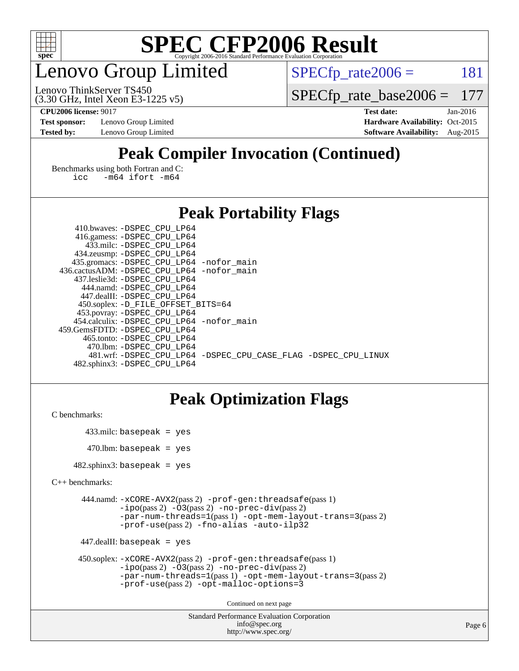

### enovo Group Limited

 $SPECTp_rate2006 = 181$ 

(3.30 GHz, Intel Xeon E3-1225 v5) Lenovo ThinkServer TS450

[SPECfp\\_rate\\_base2006 =](http://www.spec.org/auto/cpu2006/Docs/result-fields.html#SPECfpratebase2006) 177

**[Test sponsor:](http://www.spec.org/auto/cpu2006/Docs/result-fields.html#Testsponsor)** Lenovo Group Limited **[Hardware Availability:](http://www.spec.org/auto/cpu2006/Docs/result-fields.html#HardwareAvailability)** Oct-2015

**[CPU2006 license:](http://www.spec.org/auto/cpu2006/Docs/result-fields.html#CPU2006license)** 9017 **[Test date:](http://www.spec.org/auto/cpu2006/Docs/result-fields.html#Testdate)** Jan-2016 **[Tested by:](http://www.spec.org/auto/cpu2006/Docs/result-fields.html#Testedby)** Lenovo Group Limited **[Software Availability:](http://www.spec.org/auto/cpu2006/Docs/result-fields.html#SoftwareAvailability)** Aug-2015

### **[Peak Compiler Invocation \(Continued\)](http://www.spec.org/auto/cpu2006/Docs/result-fields.html#PeakCompilerInvocation)**

[Benchmarks using both Fortran and C](http://www.spec.org/auto/cpu2006/Docs/result-fields.html#BenchmarksusingbothFortranandC): [icc -m64](http://www.spec.org/cpu2006/results/res2016q1/cpu2006-20160125-38907.flags.html#user_CC_FCpeak_intel_icc_64bit_0b7121f5ab7cfabee23d88897260401c) [ifort -m64](http://www.spec.org/cpu2006/results/res2016q1/cpu2006-20160125-38907.flags.html#user_CC_FCpeak_intel_ifort_64bit_ee9d0fb25645d0210d97eb0527dcc06e)

### **[Peak Portability Flags](http://www.spec.org/auto/cpu2006/Docs/result-fields.html#PeakPortabilityFlags)**

| 410.bwaves: -DSPEC CPU LP64                |                                                                |
|--------------------------------------------|----------------------------------------------------------------|
| 416.gamess: -DSPEC_CPU_LP64                |                                                                |
| 433.milc: -DSPEC CPU LP64                  |                                                                |
| 434.zeusmp: -DSPEC_CPU_LP64                |                                                                |
| 435.gromacs: -DSPEC_CPU_LP64 -nofor_main   |                                                                |
| 436.cactusADM: -DSPEC CPU LP64 -nofor main |                                                                |
| 437.leslie3d: -DSPEC CPU LP64              |                                                                |
| 444.namd: - DSPEC_CPU LP64                 |                                                                |
| 447.dealII: -DSPEC CPU LP64                |                                                                |
| 450.soplex: -D_FILE_OFFSET_BITS=64         |                                                                |
| 453.povray: -DSPEC_CPU_LP64                |                                                                |
| 454.calculix: -DSPEC_CPU_LP64 -nofor_main  |                                                                |
| 459.GemsFDTD: -DSPEC CPU LP64              |                                                                |
| 465.tonto: -DSPEC CPU LP64                 |                                                                |
| 470.1bm: - DSPEC CPU LP64                  |                                                                |
|                                            | 481.wrf: -DSPEC CPU LP64 -DSPEC CPU CASE FLAG -DSPEC CPU LINUX |
| 482.sphinx3: -DSPEC CPU LP64               |                                                                |
|                                            |                                                                |

### **[Peak Optimization Flags](http://www.spec.org/auto/cpu2006/Docs/result-fields.html#PeakOptimizationFlags)**

```
C benchmarks:
```

```
 433.milc: basepeak = yes
470.lbm: basepeak = yes
```
482.sphinx3: basepeak = yes

```
C++ benchmarks:
```

```
 444.namd: -xCORE-AVX2(pass 2) -prof-gen:threadsafe(pass 1)
         -i\text{po}(pass 2) -\overline{O}3(pass 2)-no-prec-div(pass 2)
         -par-num-threads=1(pass 1) -opt-mem-layout-trans=3(pass 2)
         -prof-use(pass 2) -fno-alias -auto-ilp32
```

```
 447.dealII: basepeak = yes
```

```
 450.soplex: -xCORE-AVX2(pass 2) -prof-gen:threadsafe(pass 1)
         -ipo(pass 2) -O3(pass 2) -no-prec-div(pass 2)
         -par-num-threads=1(pass 1) -opt-mem-layout-trans=3(pass 2)
         -prof-use(pass 2) -opt-malloc-options=3
```
Continued on next page

```
Standard Performance Evaluation Corporation
              info@spec.org
           http://www.spec.org/
```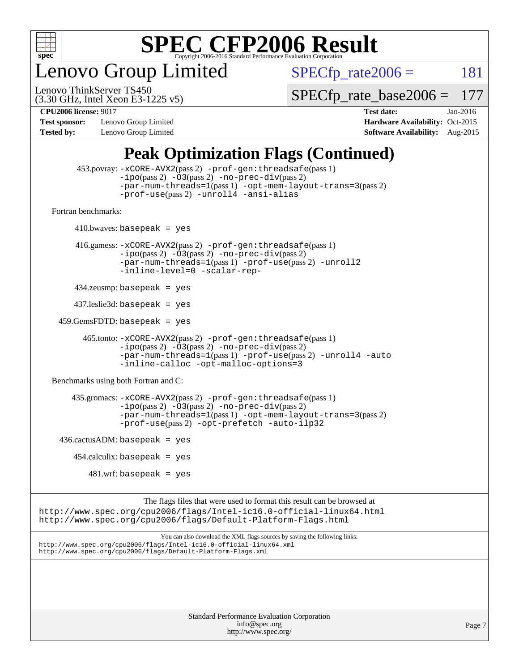

enovo Group Limited

 $SPECTp_rate2006 = 181$ 

(3.30 GHz, Intel Xeon E3-1225 v5) Lenovo ThinkServer TS450

[SPECfp\\_rate\\_base2006 =](http://www.spec.org/auto/cpu2006/Docs/result-fields.html#SPECfpratebase2006) 177

**[Test sponsor:](http://www.spec.org/auto/cpu2006/Docs/result-fields.html#Testsponsor)** Lenovo Group Limited **[Hardware Availability:](http://www.spec.org/auto/cpu2006/Docs/result-fields.html#HardwareAvailability)** Oct-2015

**[CPU2006 license:](http://www.spec.org/auto/cpu2006/Docs/result-fields.html#CPU2006license)** 9017 **[Test date:](http://www.spec.org/auto/cpu2006/Docs/result-fields.html#Testdate)** Jan-2016 **[Tested by:](http://www.spec.org/auto/cpu2006/Docs/result-fields.html#Testedby)** Lenovo Group Limited **[Software Availability:](http://www.spec.org/auto/cpu2006/Docs/result-fields.html#SoftwareAvailability)** Aug-2015

### **[Peak Optimization Flags \(Continued\)](http://www.spec.org/auto/cpu2006/Docs/result-fields.html#PeakOptimizationFlags)**

```
 453.povray: -xCORE-AVX2(pass 2) -prof-gen:threadsafe(pass 1)
                   -i\text{po}(pass 2) -\overset{\sim}{O}3(pass 2)-no-prec-div(pass 2)
                   -par-num-threads=1(pass 1) -opt-mem-layout-trans=3(pass 2)
                   -prof-use(pass 2) -unroll4 -ansi-alias
   Fortran benchmarks: 
        410.bwaves: basepeak = yes 416.gamess: -xCORE-AVX2(pass 2) -prof-gen:threadsafe(pass 1)
                   -ipo(pass 2) -O3(pass 2) -no-prec-div(pass 2)
                   -par-num-threads=1(pass 1) -prof-use(pass 2) -unroll2
                   -inline-level=0 -scalar-rep-
         434.zeusmp: basepeak = yes
         437.leslie3d: basepeak = yes
     459.GemsFDTD: basepeak = yes
           465.tonto: -xCORE-AVX2(pass 2) -prof-gen:threadsafe(pass 1)
                   -i\text{po}(pass 2) -03(pass 2)-no-prec-div(pass 2)
                   -par-num-threads=1(pass 1) -prof-use(pass 2) -unroll4 -auto
                   -inline-calloc -opt-malloc-options=3
   Benchmarks using both Fortran and C: 
         435.gromacs: -xCORE-AVX2(pass 2) -prof-gen:threadsafe(pass 1)
                   -i\text{po}(pass 2) -\tilde{O}3(pass 2)-no-prec-div(pass 2)
                   -par-num-threads=1(pass 1) -opt-mem-layout-trans=3(pass 2)
                   -prof-use(pass 2) -opt-prefetch -auto-ilp32
    436.cactusADM:basepeak = yes454.calculix: basepeak = yes
            481 \text{.m}: basepeak = yes
                         The flags files that were used to format this result can be browsed at
http://www.spec.org/cpu2006/flags/Intel-ic16.0-official-linux64.html
http://www.spec.org/cpu2006/flags/Default-Platform-Flags.html
                             You can also download the XML flags sources by saving the following links:
http://www.spec.org/cpu2006/flags/Intel-ic16.0-official-linux64.xml
http://www.spec.org/cpu2006/flags/Default-Platform-Flags.xml
```